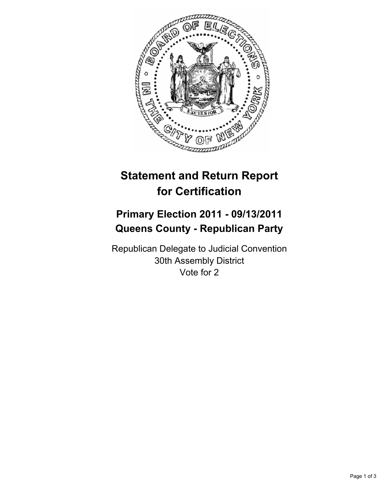

# **Statement and Return Report for Certification**

## **Primary Election 2011 - 09/13/2011 Queens County - Republican Party**

Republican Delegate to Judicial Convention 30th Assembly District Vote for 2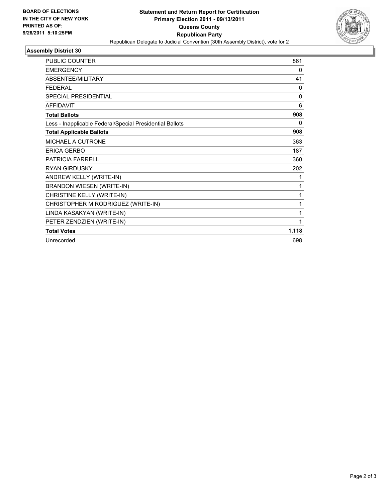

### **Assembly District 30**

| <b>PUBLIC COUNTER</b>                                    | 861          |
|----------------------------------------------------------|--------------|
| <b>EMERGENCY</b>                                         | 0            |
| ABSENTEE/MILITARY                                        | 41           |
| <b>FEDERAL</b>                                           | 0            |
| <b>SPECIAL PRESIDENTIAL</b>                              | $\mathbf{0}$ |
| <b>AFFIDAVIT</b>                                         | 6            |
| <b>Total Ballots</b>                                     | 908          |
| Less - Inapplicable Federal/Special Presidential Ballots | 0            |
| <b>Total Applicable Ballots</b>                          | 908          |
| MICHAEL A CUTRONE                                        | 363          |
| <b>ERICA GERBO</b>                                       | 187          |
| <b>PATRICIA FARRELL</b>                                  | 360          |
| RYAN GIRDUSKY                                            | 202          |
| ANDREW KELLY (WRITE-IN)                                  | 1            |
| <b>BRANDON WIESEN (WRITE-IN)</b>                         | 1            |
| CHRISTINE KELLY (WRITE-IN)                               | 1            |
| CHRISTOPHER M RODRIGUEZ (WRITE-IN)                       | 1            |
| LINDA KASAKYAN (WRITE-IN)                                | 1            |
| PETER ZENDZIEN (WRITE-IN)                                | 1            |
| <b>Total Votes</b>                                       | 1,118        |
| Unrecorded                                               | 698          |